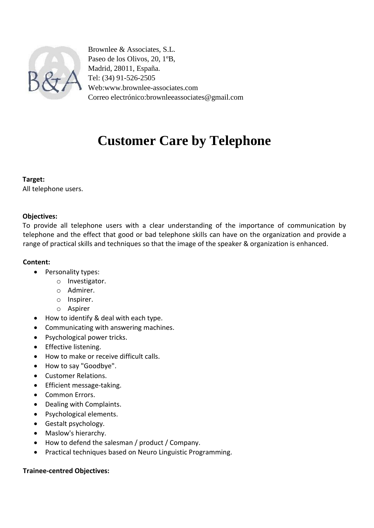

Brownlee & Associates, S.L. Paseo de los Olivos, 20, 1ºB, Madrid, 28011, España. Tel: (34) 91-526-2505 Web:www.brownlee-associates.com Correo electrónico:brownleeassociates@gmail.com

# **Customer Care by Telephone**

### **Target:**

All telephone users.

# **Objectives:**

To provide all telephone users with a clear understanding of the importance of communication by telephone and the effect that good or bad telephone skills can have on the organization and provide a range of practical skills and techniques so that the image of the speaker & organization is enhanced.

# **Content:**

- Personality types:
	- o Investigator.
	- o Admirer.
	- o Inspirer.
	- o Aspirer
- How to identify & deal with each type.
- Communicating with answering machines.
- Psychological power tricks.
- **•** Effective listening.
- How to make or receive difficult calls.
- How to say "Goodbye".
- Customer Relations.
- Efficient message-taking.
- Common Errors.
- Dealing with Complaints.
- Psychological elements.
- Gestalt psychology.
- Maslow's hierarchy.
- How to defend the salesman / product / Company.
- Practical techniques based on Neuro Linguistic Programming.

### **Trainee-centred Objectives:**